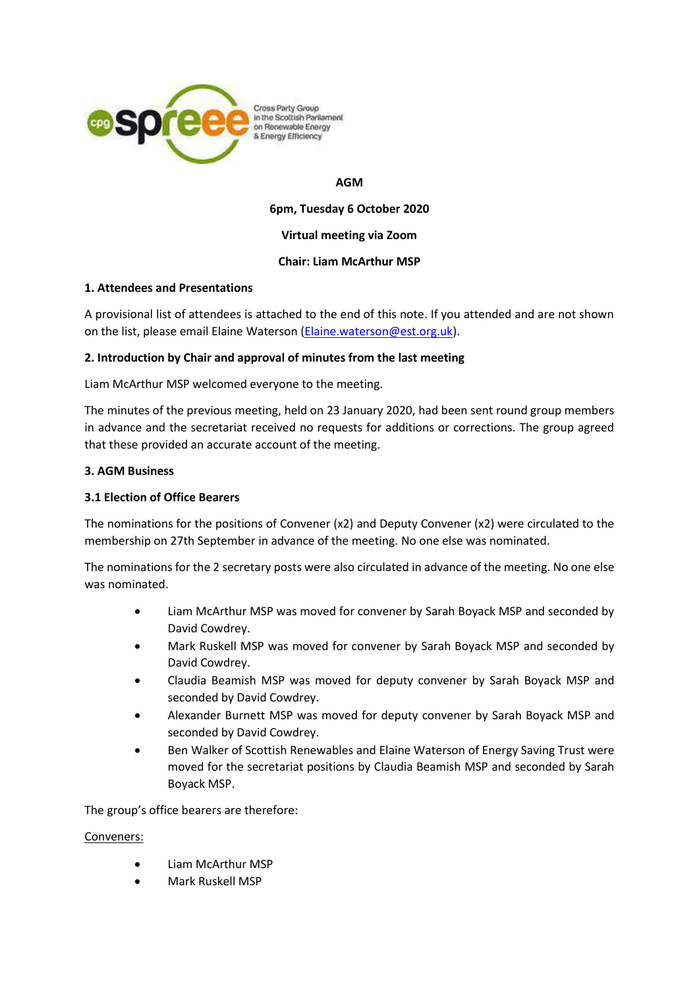

Cross Party Group In the Scottish Parliament on Renewable Energy & Energy Efficiency

## **AGM**

**6pm, Tuesday 6 October 2020**

## **Virtual meeting via Zoom**

## **Chair: Liam McArthur MSP**

## **1. Attendees and Presentations**

A provisional list of attendees is attached to the end of this note. If you attended and are not shown on the list, please email Elaine Waterson [\(Elaine.waterson@est.org.uk\)](mailto:Elaine.waterson@est.org.uk).

## **2. Introduction by Chair and approval of minutes from the last meeting**

Liam McArthur MSP welcomed everyone to the meeting.

The minutes of the previous meeting, held on 23 January 2020, had been sent round group members in advance and the secretariat received no requests for additions or corrections. The group agreed that these provided an accurate account of the meeting.

## **3. AGM Business**

## **3.1 Election of Office Bearers**

The nominations for the positions of Convener (x2) and Deputy Convener (x2) were circulated to the membership on 27th September in advance of the meeting. No one else was nominated.

The nominations for the 2 secretary posts were also circulated in advance of the meeting. No one else was nominated.

- Liam McArthur MSP was moved for convener by Sarah Boyack MSP and seconded by David Cowdrey.
- Mark Ruskell MSP was moved for convener by Sarah Boyack MSP and seconded by David Cowdrey.
- Claudia Beamish MSP was moved for deputy convener by Sarah Boyack MSP and seconded by David Cowdrey.
- Alexander Burnett MSP was moved for deputy convener by Sarah Boyack MSP and seconded by David Cowdrey.
- Ben Walker of Scottish Renewables and Elaine Waterson of Energy Saving Trust were moved for the secretariat positions by Claudia Beamish MSP and seconded by Sarah Boyack MSP.

The group's office bearers are therefore:

Conveners:

- Liam McArthur MSP
- Mark Ruskell MSP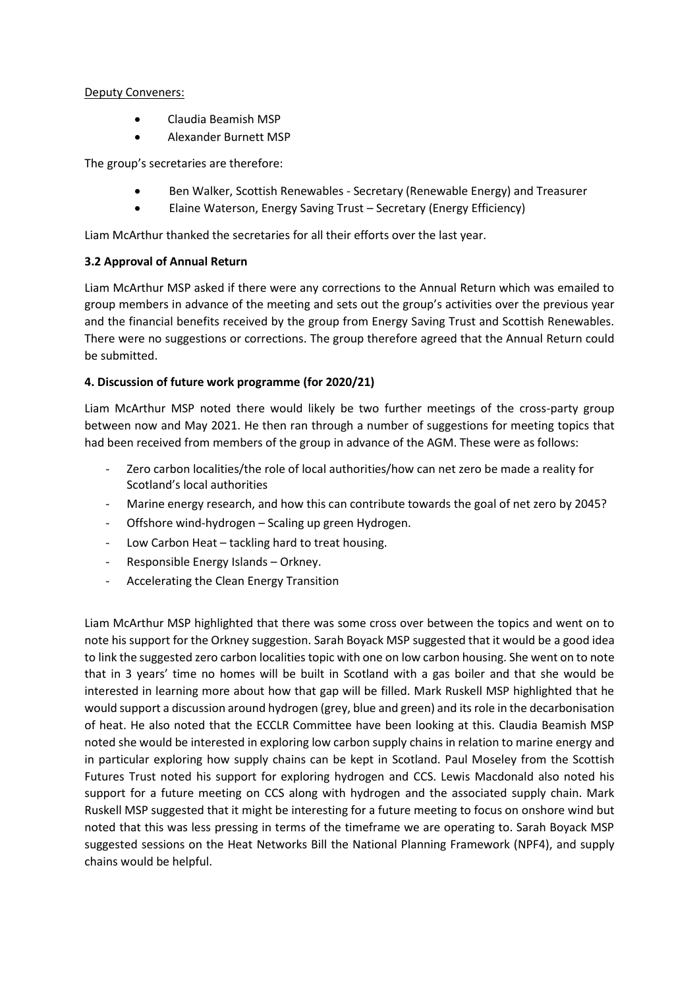## Deputy Conveners:

- Claudia Beamish MSP
- Alexander Burnett MSP

The group's secretaries are therefore:

- Ben Walker, Scottish Renewables Secretary (Renewable Energy) and Treasurer
- Elaine Waterson, Energy Saving Trust Secretary (Energy Efficiency)

Liam McArthur thanked the secretaries for all their efforts over the last year.

## **3.2 Approval of Annual Return**

Liam McArthur MSP asked if there were any corrections to the Annual Return which was emailed to group members in advance of the meeting and sets out the group's activities over the previous year and the financial benefits received by the group from Energy Saving Trust and Scottish Renewables. There were no suggestions or corrections. The group therefore agreed that the Annual Return could be submitted.

# **4. Discussion of future work programme (for 2020/21)**

Liam McArthur MSP noted there would likely be two further meetings of the cross-party group between now and May 2021. He then ran through a number of suggestions for meeting topics that had been received from members of the group in advance of the AGM. These were as follows:

- Zero carbon localities/the role of local authorities/how can net zero be made a reality for Scotland's local authorities
- Marine energy research, and how this can contribute towards the goal of net zero by 2045?
- Offshore wind-hydrogen Scaling up green Hydrogen.
- Low Carbon Heat tackling hard to treat housing.
- Responsible Energy Islands Orkney.
- Accelerating the Clean Energy Transition

Liam McArthur MSP highlighted that there was some cross over between the topics and went on to note his support for the Orkney suggestion. Sarah Boyack MSP suggested that it would be a good idea to link the suggested zero carbon localities topic with one on low carbon housing. She went on to note that in 3 years' time no homes will be built in Scotland with a gas boiler and that she would be interested in learning more about how that gap will be filled. Mark Ruskell MSP highlighted that he would support a discussion around hydrogen (grey, blue and green) and its role in the decarbonisation of heat. He also noted that the ECCLR Committee have been looking at this. Claudia Beamish MSP noted she would be interested in exploring low carbon supply chains in relation to marine energy and in particular exploring how supply chains can be kept in Scotland. Paul Moseley from the Scottish Futures Trust noted his support for exploring hydrogen and CCS. Lewis Macdonald also noted his support for a future meeting on CCS along with hydrogen and the associated supply chain. Mark Ruskell MSP suggested that it might be interesting for a future meeting to focus on onshore wind but noted that this was less pressing in terms of the timeframe we are operating to. Sarah Boyack MSP suggested sessions on the Heat Networks Bill the National Planning Framework (NPF4), and supply chains would be helpful.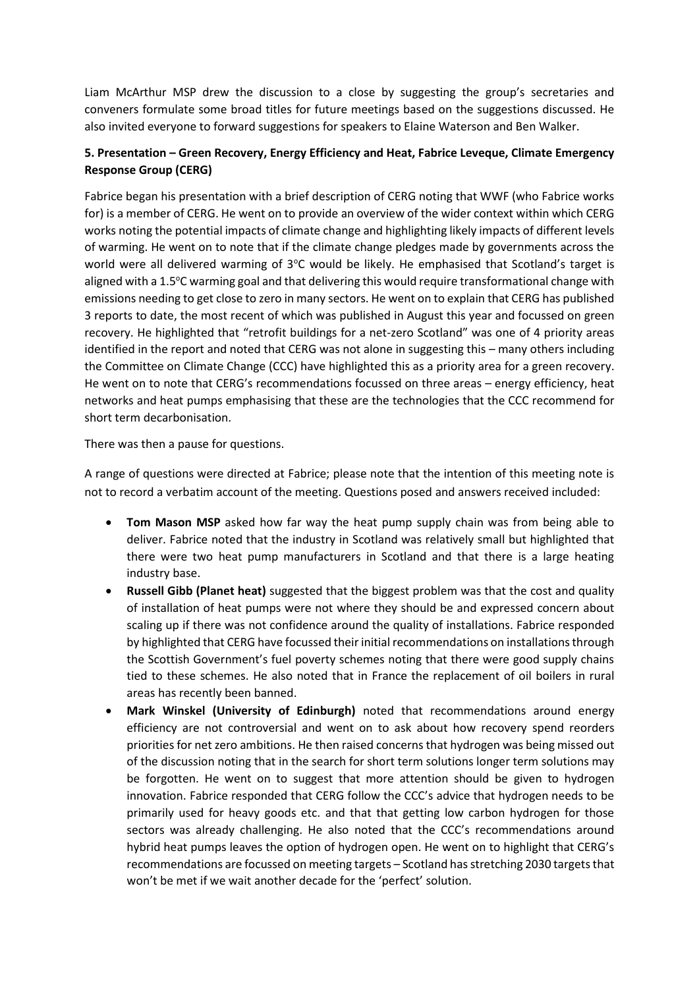Liam McArthur MSP drew the discussion to a close by suggesting the group's secretaries and conveners formulate some broad titles for future meetings based on the suggestions discussed. He also invited everyone to forward suggestions for speakers to Elaine Waterson and Ben Walker.

# **5. Presentation – Green Recovery, Energy Efficiency and Heat, Fabrice Leveque, Climate Emergency Response Group (CERG)**

Fabrice began his presentation with a brief description of CERG noting that WWF (who Fabrice works for) is a member of CERG. He went on to provide an overview of the wider context within which CERG works noting the potential impacts of climate change and highlighting likely impacts of different levels of warming. He went on to note that if the climate change pledges made by governments across the world were all delivered warming of  $3^{\circ}$ C would be likely. He emphasised that Scotland's target is aligned with a 1.5°C warming goal and that delivering this would require transformational change with emissions needing to get close to zero in many sectors. He went on to explain that CERG has published 3 reports to date, the most recent of which was published in August this year and focussed on green recovery. He highlighted that "retrofit buildings for a net-zero Scotland" was one of 4 priority areas identified in the report and noted that CERG was not alone in suggesting this – many others including the Committee on Climate Change (CCC) have highlighted this as a priority area for a green recovery. He went on to note that CERG's recommendations focussed on three areas – energy efficiency, heat networks and heat pumps emphasising that these are the technologies that the CCC recommend for short term decarbonisation.

There was then a pause for questions.

A range of questions were directed at Fabrice; please note that the intention of this meeting note is not to record a verbatim account of the meeting. Questions posed and answers received included:

- **Tom Mason MSP** asked how far way the heat pump supply chain was from being able to deliver. Fabrice noted that the industry in Scotland was relatively small but highlighted that there were two heat pump manufacturers in Scotland and that there is a large heating industry base.
- **Russell Gibb (Planet heat)** suggested that the biggest problem was that the cost and quality of installation of heat pumps were not where they should be and expressed concern about scaling up if there was not confidence around the quality of installations. Fabrice responded by highlighted that CERG have focussed their initial recommendations on installations through the Scottish Government's fuel poverty schemes noting that there were good supply chains tied to these schemes. He also noted that in France the replacement of oil boilers in rural areas has recently been banned.
- **Mark Winskel (University of Edinburgh)** noted that recommendations around energy efficiency are not controversial and went on to ask about how recovery spend reorders priorities for net zero ambitions. He then raised concerns that hydrogen was being missed out of the discussion noting that in the search for short term solutions longer term solutions may be forgotten. He went on to suggest that more attention should be given to hydrogen innovation. Fabrice responded that CERG follow the CCC's advice that hydrogen needs to be primarily used for heavy goods etc. and that that getting low carbon hydrogen for those sectors was already challenging. He also noted that the CCC's recommendations around hybrid heat pumps leaves the option of hydrogen open. He went on to highlight that CERG's recommendations are focussed on meeting targets – Scotland has stretching 2030 targets that won't be met if we wait another decade for the 'perfect' solution.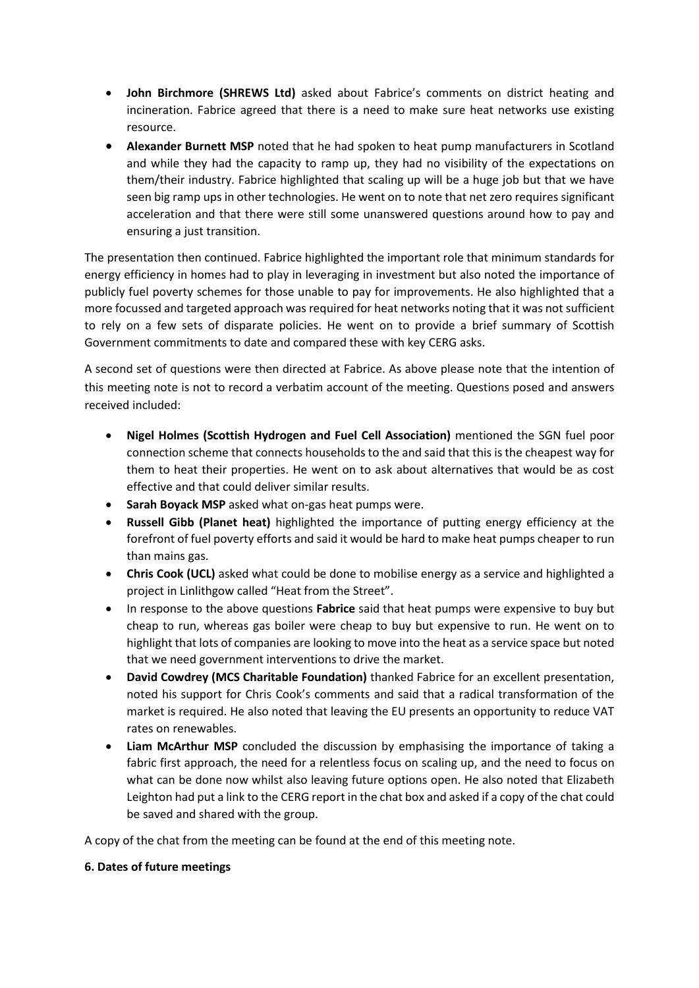- **John Birchmore (SHREWS Ltd)** asked about Fabrice's comments on district heating and incineration. Fabrice agreed that there is a need to make sure heat networks use existing resource.
- **Alexander Burnett MSP** noted that he had spoken to heat pump manufacturers in Scotland and while they had the capacity to ramp up, they had no visibility of the expectations on them/their industry. Fabrice highlighted that scaling up will be a huge job but that we have seen big ramp ups in other technologies. He went on to note that net zero requires significant acceleration and that there were still some unanswered questions around how to pay and ensuring a just transition.

The presentation then continued. Fabrice highlighted the important role that minimum standards for energy efficiency in homes had to play in leveraging in investment but also noted the importance of publicly fuel poverty schemes for those unable to pay for improvements. He also highlighted that a more focussed and targeted approach was required for heat networks noting that it was not sufficient to rely on a few sets of disparate policies. He went on to provide a brief summary of Scottish Government commitments to date and compared these with key CERG asks.

A second set of questions were then directed at Fabrice. As above please note that the intention of this meeting note is not to record a verbatim account of the meeting. Questions posed and answers received included:

- **Nigel Holmes (Scottish Hydrogen and Fuel Cell Association)** mentioned the SGN fuel poor connection scheme that connects households to the and said that this is the cheapest way for them to heat their properties. He went on to ask about alternatives that would be as cost effective and that could deliver similar results.
- **Sarah Boyack MSP** asked what on-gas heat pumps were.
- **Russell Gibb (Planet heat)** highlighted the importance of putting energy efficiency at the forefront of fuel poverty efforts and said it would be hard to make heat pumps cheaper to run than mains gas.
- **Chris Cook (UCL)** asked what could be done to mobilise energy as a service and highlighted a project in Linlithgow called "Heat from the Street".
- In response to the above questions **Fabrice** said that heat pumps were expensive to buy but cheap to run, whereas gas boiler were cheap to buy but expensive to run. He went on to highlight that lots of companies are looking to move into the heat as a service space but noted that we need government interventions to drive the market.
- **David Cowdrey (MCS Charitable Foundation)** thanked Fabrice for an excellent presentation, noted his support for Chris Cook's comments and said that a radical transformation of the market is required. He also noted that leaving the EU presents an opportunity to reduce VAT rates on renewables.
- **Liam McArthur MSP** concluded the discussion by emphasising the importance of taking a fabric first approach, the need for a relentless focus on scaling up, and the need to focus on what can be done now whilst also leaving future options open. He also noted that Elizabeth Leighton had put a link to the CERG report in the chat box and asked if a copy of the chat could be saved and shared with the group.

A copy of the chat from the meeting can be found at the end of this meeting note.

## **6. Dates of future meetings**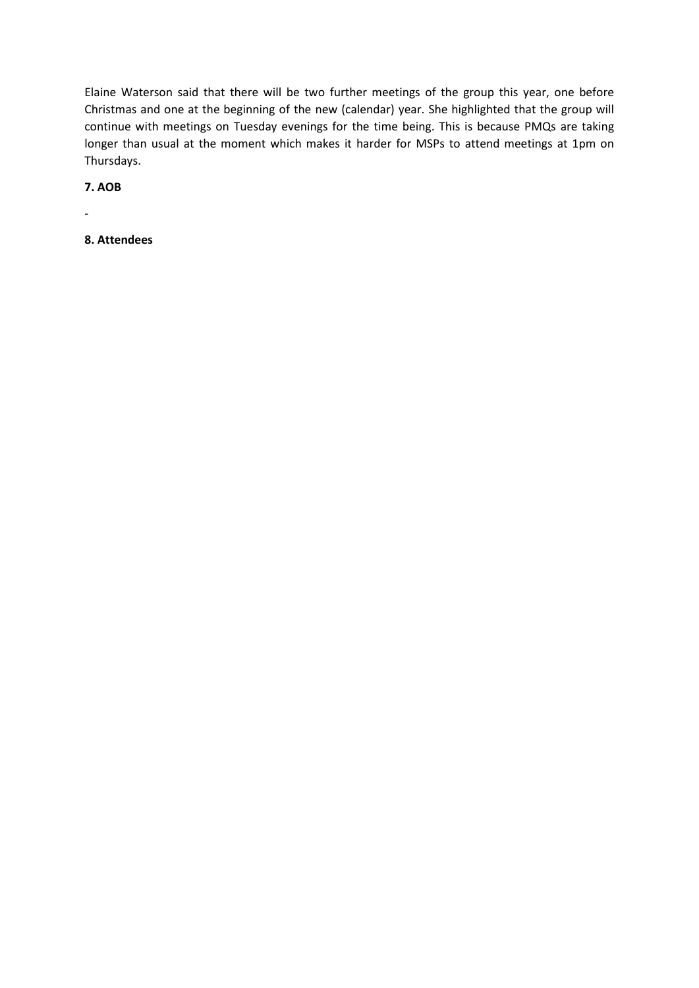Elaine Waterson said that there will be two further meetings of the group this year, one before Christmas and one at the beginning of the new (calendar) year. She highlighted that the group will continue with meetings on Tuesday evenings for the time being. This is because PMQs are taking longer than usual at the moment which makes it harder for MSPs to attend meetings at 1pm on Thursdays.

**7. AOB**

-

**8. Attendees**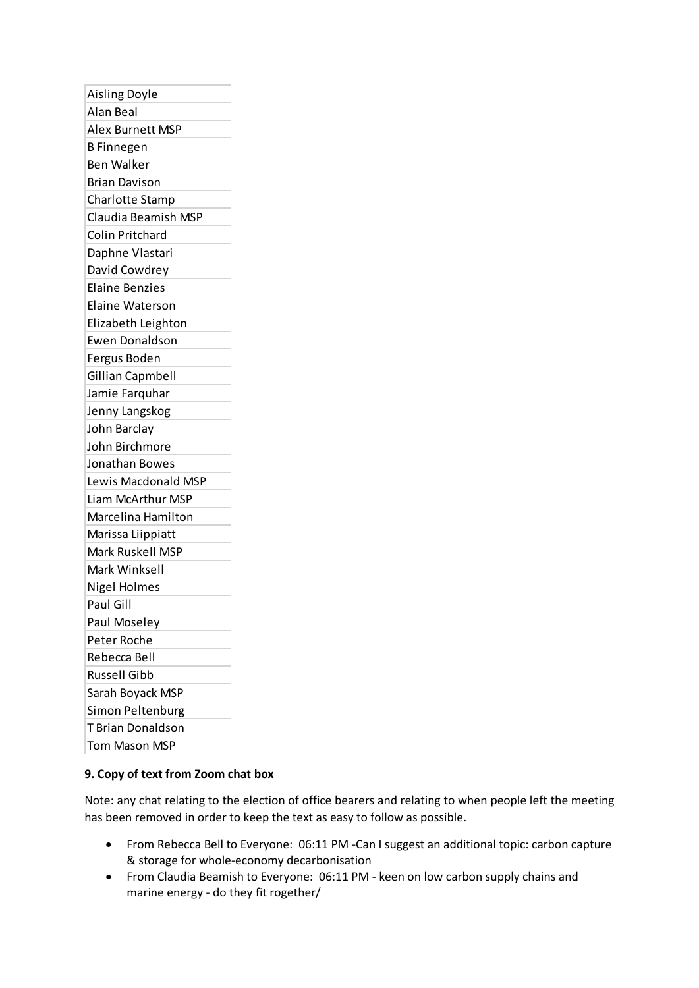| <b>Aisling Doyle</b>    |
|-------------------------|
| Alan Beal               |
| <b>Alex Burnett MSP</b> |
| <b>B</b> Finnegen       |
| <b>Ben Walker</b>       |
| <b>Brian Davison</b>    |
| Charlotte Stamp         |
| Claudia Beamish MSP     |
| <b>Colin Pritchard</b>  |
| Daphne Vlastari         |
| David Cowdrey           |
| <b>Elaine Benzies</b>   |
| <b>Elaine Waterson</b>  |
| Elizabeth Leighton      |
| <b>Ewen Donaldson</b>   |
| Fergus Boden            |
| Gillian Capmbell        |
| Jamie Farquhar          |
| Jenny Langskog          |
| John Barclay            |
| John Birchmore          |
| Jonathan Bowes          |
| Lewis Macdonald MSP     |
| Liam McArthur MSP       |
| Marcelina Hamilton      |
| Marissa Liippiatt       |
| Mark Ruskell MSP        |
| Mark Winksell           |
| Nigel Holmes            |
| Paul Gill               |
| Paul Moseley            |
| Peter Roche             |
| Rebecca Bell            |
| <b>Russell Gibb</b>     |
| Sarah Boyack MSP        |
| Simon Peltenburg        |
| T Brian Donaldson       |
| Tom Mason MSP           |

## **9. Copy of text from Zoom chat box**

Note: any chat relating to the election of office bearers and relating to when people left the meeting has been removed in order to keep the text as easy to follow as possible.

- From Rebecca Bell to Everyone: 06:11 PM -Can I suggest an additional topic: carbon capture & storage for whole-economy decarbonisation
- From Claudia Beamish to Everyone: 06:11 PM keen on low carbon supply chains and marine energy - do they fit rogether/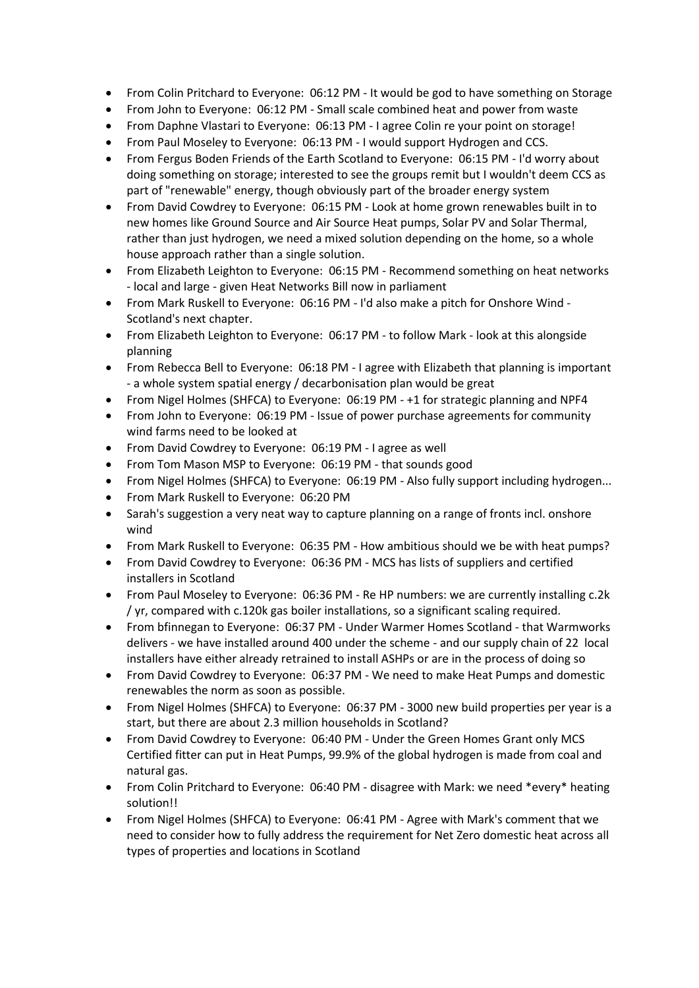- From Colin Pritchard to Everyone: 06:12 PM It would be god to have something on Storage
- From John to Everyone: 06:12 PM Small scale combined heat and power from waste
- From Daphne Vlastari to Everyone: 06:13 PM I agree Colin re your point on storage!
- From Paul Moseley to Everyone: 06:13 PM I would support Hydrogen and CCS.
- From Fergus Boden Friends of the Earth Scotland to Everyone: 06:15 PM I'd worry about doing something on storage; interested to see the groups remit but I wouldn't deem CCS as part of "renewable" energy, though obviously part of the broader energy system
- From David Cowdrey to Everyone: 06:15 PM Look at home grown renewables built in to new homes like Ground Source and Air Source Heat pumps, Solar PV and Solar Thermal, rather than just hydrogen, we need a mixed solution depending on the home, so a whole house approach rather than a single solution.
- From Elizabeth Leighton to Everyone: 06:15 PM Recommend something on heat networks - local and large - given Heat Networks Bill now in parliament
- From Mark Ruskell to Everyone: 06:16 PM I'd also make a pitch for Onshore Wind Scotland's next chapter.
- From Elizabeth Leighton to Everyone: 06:17 PM to follow Mark look at this alongside planning
- From Rebecca Bell to Everyone: 06:18 PM I agree with Elizabeth that planning is important - a whole system spatial energy / decarbonisation plan would be great
- From Nigel Holmes (SHFCA) to Everyone: 06:19 PM +1 for strategic planning and NPF4
- From John to Everyone: 06:19 PM Issue of power purchase agreements for community wind farms need to be looked at
- From David Cowdrey to Everyone: 06:19 PM I agree as well
- From Tom Mason MSP to Everyone: 06:19 PM that sounds good
- From Nigel Holmes (SHFCA) to Everyone: 06:19 PM Also fully support including hydrogen...
- From Mark Ruskell to Everyone: 06:20 PM
- Sarah's suggestion a very neat way to capture planning on a range of fronts incl. onshore wind
- From Mark Ruskell to Everyone: 06:35 PM How ambitious should we be with heat pumps?
- From David Cowdrey to Everyone: 06:36 PM MCS has lists of suppliers and certified installers in Scotland
- From Paul Moseley to Everyone: 06:36 PM Re HP numbers: we are currently installing c.2k / yr, compared with c.120k gas boiler installations, so a significant scaling required.
- From bfinnegan to Everyone: 06:37 PM Under Warmer Homes Scotland that Warmworks delivers - we have installed around 400 under the scheme - and our supply chain of 22 local installers have either already retrained to install ASHPs or are in the process of doing so
- From David Cowdrey to Everyone: 06:37 PM We need to make Heat Pumps and domestic renewables the norm as soon as possible.
- From Nigel Holmes (SHFCA) to Everyone: 06:37 PM 3000 new build properties per year is a start, but there are about 2.3 million households in Scotland?
- From David Cowdrey to Everyone: 06:40 PM Under the Green Homes Grant only MCS Certified fitter can put in Heat Pumps, 99.9% of the global hydrogen is made from coal and natural gas.
- From Colin Pritchard to Everyone: 06:40 PM disagree with Mark: we need \*every\* heating solution!!
- From Nigel Holmes (SHFCA) to Everyone: 06:41 PM Agree with Mark's comment that we need to consider how to fully address the requirement for Net Zero domestic heat across all types of properties and locations in Scotland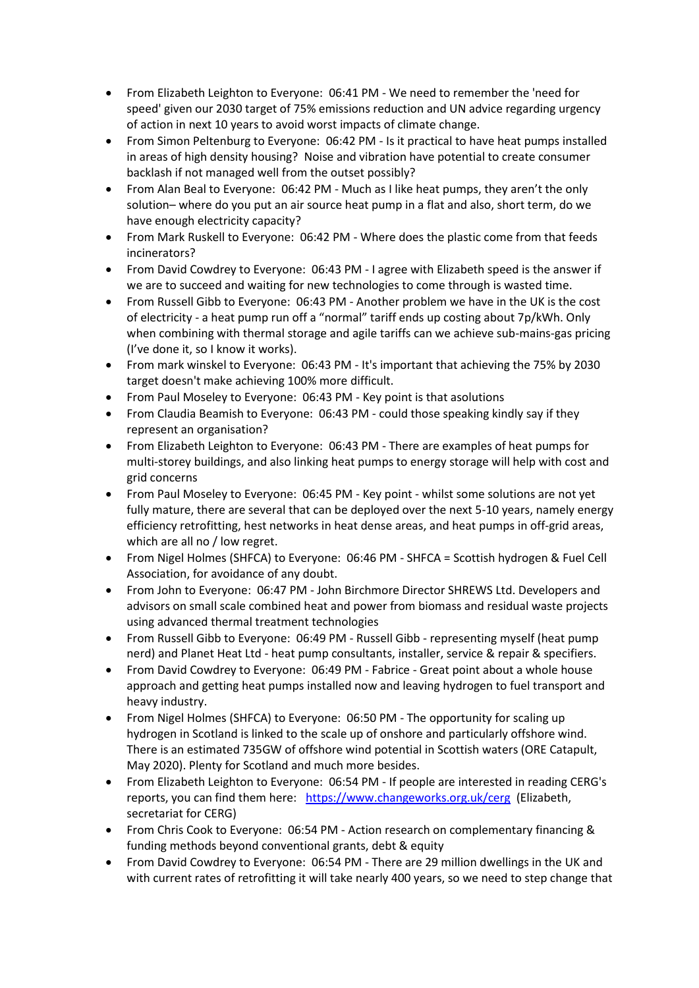- From Elizabeth Leighton to Everyone: 06:41 PM We need to remember the 'need for speed' given our 2030 target of 75% emissions reduction and UN advice regarding urgency of action in next 10 years to avoid worst impacts of climate change.
- From Simon Peltenburg to Everyone: 06:42 PM Is it practical to have heat pumps installed in areas of high density housing? Noise and vibration have potential to create consumer backlash if not managed well from the outset possibly?
- From Alan Beal to Everyone: 06:42 PM Much as I like heat pumps, they aren't the only solution– where do you put an air source heat pump in a flat and also, short term, do we have enough electricity capacity?
- From Mark Ruskell to Everyone: 06:42 PM Where does the plastic come from that feeds incinerators?
- From David Cowdrey to Everyone: 06:43 PM I agree with Elizabeth speed is the answer if we are to succeed and waiting for new technologies to come through is wasted time.
- From Russell Gibb to Everyone: 06:43 PM Another problem we have in the UK is the cost of electricity - a heat pump run off a "normal" tariff ends up costing about 7p/kWh. Only when combining with thermal storage and agile tariffs can we achieve sub-mains-gas pricing (I've done it, so I know it works).
- From mark winskel to Everyone: 06:43 PM It's important that achieving the 75% by 2030 target doesn't make achieving 100% more difficult.
- From Paul Moseley to Everyone: 06:43 PM Key point is that asolutions
- From Claudia Beamish to Everyone: 06:43 PM could those speaking kindly say if they represent an organisation?
- From Elizabeth Leighton to Everyone: 06:43 PM There are examples of heat pumps for multi-storey buildings, and also linking heat pumps to energy storage will help with cost and grid concerns
- From Paul Moseley to Everyone: 06:45 PM Key point whilst some solutions are not yet fully mature, there are several that can be deployed over the next 5-10 years, namely energy efficiency retrofitting, hest networks in heat dense areas, and heat pumps in off-grid areas, which are all no / low regret.
- From Nigel Holmes (SHFCA) to Everyone: 06:46 PM SHFCA = Scottish hydrogen & Fuel Cell Association, for avoidance of any doubt.
- From John to Everyone: 06:47 PM John Birchmore Director SHREWS Ltd. Developers and advisors on small scale combined heat and power from biomass and residual waste projects using advanced thermal treatment technologies
- From Russell Gibb to Everyone: 06:49 PM Russell Gibb representing myself (heat pump nerd) and Planet Heat Ltd - heat pump consultants, installer, service & repair & specifiers.
- From David Cowdrey to Everyone: 06:49 PM Fabrice Great point about a whole house approach and getting heat pumps installed now and leaving hydrogen to fuel transport and heavy industry.
- From Nigel Holmes (SHFCA) to Everyone: 06:50 PM The opportunity for scaling up hydrogen in Scotland is linked to the scale up of onshore and particularly offshore wind. There is an estimated 735GW of offshore wind potential in Scottish waters (ORE Catapult, May 2020). Plenty for Scotland and much more besides.
- From Elizabeth Leighton to Everyone: 06:54 PM If people are interested in reading CERG's reports, you can find them here: <https://www.changeworks.org.uk/cerg> (Elizabeth, secretariat for CERG)
- From Chris Cook to Everyone: 06:54 PM Action research on complementary financing & funding methods beyond conventional grants, debt & equity
- From David Cowdrey to Everyone: 06:54 PM There are 29 million dwellings in the UK and with current rates of retrofitting it will take nearly 400 years, so we need to step change that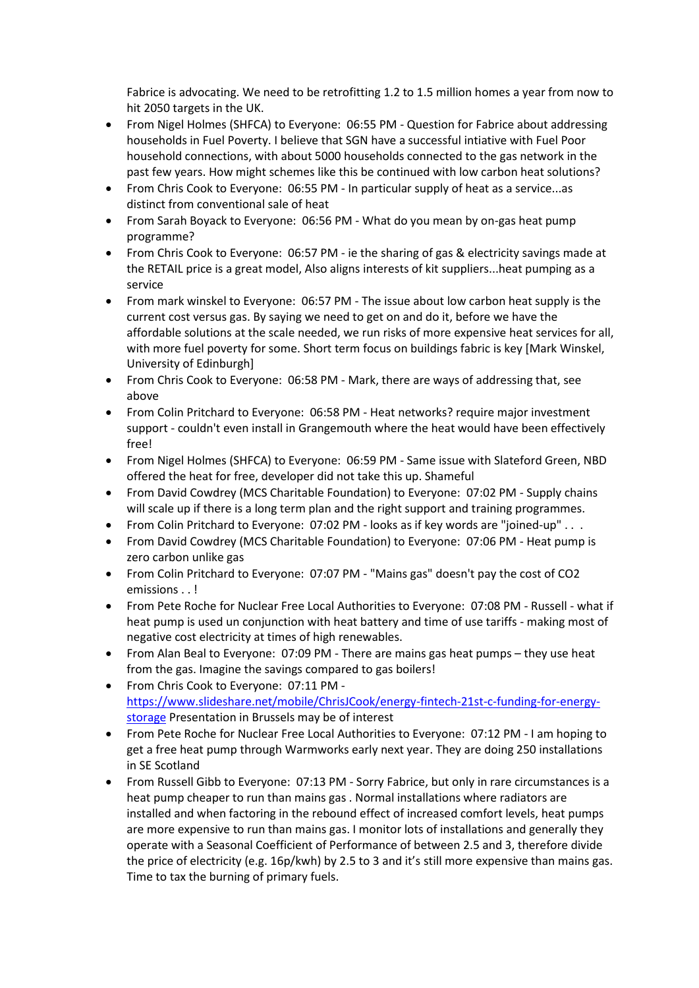Fabrice is advocating. We need to be retrofitting 1.2 to 1.5 million homes a year from now to hit 2050 targets in the UK.

- From Nigel Holmes (SHFCA) to Everyone: 06:55 PM Question for Fabrice about addressing households in Fuel Poverty. I believe that SGN have a successful intiative with Fuel Poor household connections, with about 5000 households connected to the gas network in the past few years. How might schemes like this be continued with low carbon heat solutions?
- From Chris Cook to Everyone: 06:55 PM In particular supply of heat as a service...as distinct from conventional sale of heat
- From Sarah Boyack to Everyone: 06:56 PM What do you mean by on-gas heat pump programme?
- From Chris Cook to Everyone: 06:57 PM ie the sharing of gas & electricity savings made at the RETAIL price is a great model, Also aligns interests of kit suppliers...heat pumping as a service
- From mark winskel to Everyone: 06:57 PM The issue about low carbon heat supply is the current cost versus gas. By saying we need to get on and do it, before we have the affordable solutions at the scale needed, we run risks of more expensive heat services for all, with more fuel poverty for some. Short term focus on buildings fabric is key [Mark Winskel, University of Edinburgh]
- From Chris Cook to Everyone: 06:58 PM Mark, there are ways of addressing that, see above
- From Colin Pritchard to Everyone: 06:58 PM Heat networks? require major investment support - couldn't even install in Grangemouth where the heat would have been effectively free!
- From Nigel Holmes (SHFCA) to Everyone: 06:59 PM Same issue with Slateford Green, NBD offered the heat for free, developer did not take this up. Shameful
- From David Cowdrey (MCS Charitable Foundation) to Everyone: 07:02 PM Supply chains will scale up if there is a long term plan and the right support and training programmes.
- From Colin Pritchard to Everyone: 07:02 PM looks as if key words are "joined-up" . . .
- From David Cowdrey (MCS Charitable Foundation) to Everyone: 07:06 PM Heat pump is zero carbon unlike gas
- From Colin Pritchard to Everyone: 07:07 PM "Mains gas" doesn't pay the cost of CO2 emissions . . !
- From Pete Roche for Nuclear Free Local Authorities to Everyone: 07:08 PM Russell what if heat pump is used un conjunction with heat battery and time of use tariffs - making most of negative cost electricity at times of high renewables.
- From Alan Beal to Everyone: 07:09 PM There are mains gas heat pumps they use heat from the gas. Imagine the savings compared to gas boilers!
- From Chris Cook to Everyone: 07:11 PM [https://www.slideshare.net/mobile/ChrisJCook/energy-fintech-21st-c-funding-for-energy](https://www.slideshare.net/mobile/ChrisJCook/energy-fintech-21st-c-funding-for-energy-storage)[storage](https://www.slideshare.net/mobile/ChrisJCook/energy-fintech-21st-c-funding-for-energy-storage) Presentation in Brussels may be of interest
- From Pete Roche for Nuclear Free Local Authorities to Everyone: 07:12 PM I am hoping to get a free heat pump through Warmworks early next year. They are doing 250 installations in SE Scotland
- From Russell Gibb to Everyone: 07:13 PM Sorry Fabrice, but only in rare circumstances is a heat pump cheaper to run than mains gas . Normal installations where radiators are installed and when factoring in the rebound effect of increased comfort levels, heat pumps are more expensive to run than mains gas. I monitor lots of installations and generally they operate with a Seasonal Coefficient of Performance of between 2.5 and 3, therefore divide the price of electricity (e.g. 16p/kwh) by 2.5 to 3 and it's still more expensive than mains gas. Time to tax the burning of primary fuels.